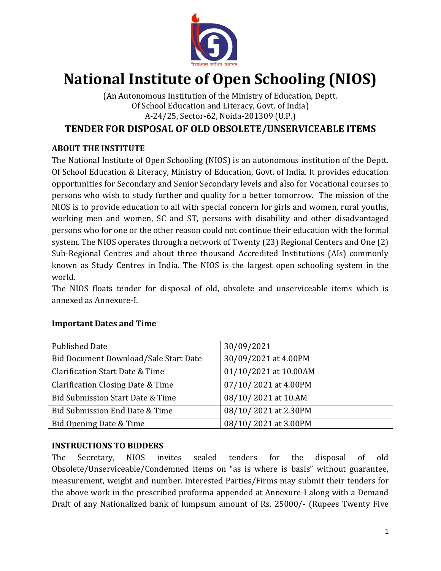

# **National Institute of Open Schooling (NIOS)**

(An Autonomous Institution of the Ministry of Education, Deptt. Of School Education and Literacy, Govt. of India) A-24/25, Sector-62, Noida-201309 (U.P.)

# **TENDER FOR DISPOSAL OF OLD OBSOLETE/UNSERVICEABLE ITEMS**

## **ABOUT THE INSTITUTE**

The National Institute of Open Schooling (NIOS) is an autonomous institution of the Deptt. Of School Education & Literacy, Ministry of Education, Govt. of India. It provides education opportunities for Secondary and Senior Secondary levels and also for Vocational courses to persons who wish to study further and quality for a better tomorrow. The mission of the NIOS is to provide education to all with special concern for girls and women, rural youths, working men and women, SC and ST, persons with disability and other disadvantaged persons who for one or the other reason could not continue their education with the formal system. The NIOS operates through a network of Twenty (23) Regional Centers and One (2) Sub-Regional Centres and about three thousand Accredited Institutions (AIs) commonly known as Study Centres in India. The NIOS is the largest open schooling system in the world.

The NIOS floats tender for disposal of old, obsolete and unserviceable items which is annexed as Annexure-I.

| <b>Published Date</b>                 | 30/09/2021            |
|---------------------------------------|-----------------------|
| Bid Document Download/Sale Start Date | 30/09/2021 at 4.00PM  |
| Clarification Start Date & Time       | 01/10/2021 at 10.00AM |
| Clarification Closing Date & Time     | 07/10/2021 at 4.00PM  |
| Bid Submission Start Date & Time      | 08/10/2021 at 10.AM   |
| Bid Submission End Date & Time        | 08/10/2021 at 2.30PM  |
| Bid Opening Date & Time               | 08/10/2021 at 3.00PM  |

#### **Important Dates and Time**

#### **INSTRUCTIONS TO BIDDERS**

The Secretary, NIOS invites sealed tenders for the disposal of old Obsolete/Unserviceable/Condemned items on "as is where is basis" without guarantee, measurement, weight and number. Interested Parties/Firms may submit their tenders for the above work in the prescribed proforma appended at Annexure-I along with a Demand Draft of any Nationalized bank of lumpsum amount of Rs. 25000/- (Rupees Twenty Five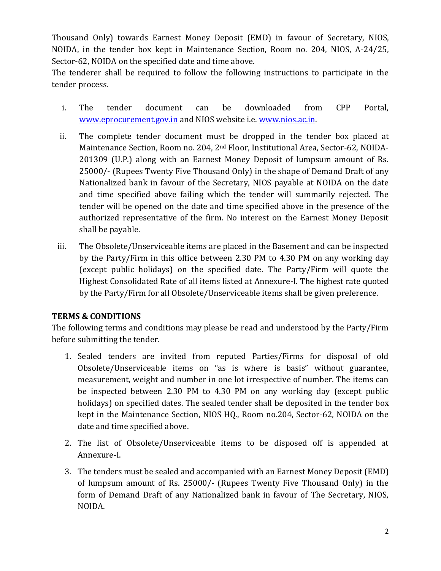Thousand Only) towards Earnest Money Deposit (EMD) in favour of Secretary, NIOS, NOIDA, in the tender box kept in Maintenance Section, Room no. 204, NIOS, A-24/25, Sector-62, NOIDA on the specified date and time above.

The tenderer shall be required to follow the following instructions to participate in the tender process.

- i. The tender document can be downloaded from CPP Portal, [www.eprocurement.gov.in](http://www.eprocurement.gov.in/) and NIOS website i.e[. www.nios.ac.in.](http://www.nios.ac.in/)
- ii. The complete tender document must be dropped in the tender box placed at Maintenance Section, Room no. 204, 2nd Floor, Institutional Area, Sector-62, NOIDA-201309 (U.P.) along with an Earnest Money Deposit of lumpsum amount of Rs. 25000/- (Rupees Twenty Five Thousand Only) in the shape of Demand Draft of any Nationalized bank in favour of the Secretary, NIOS payable at NOIDA on the date and time specified above failing which the tender will summarily rejected. The tender will be opened on the date and time specified above in the presence of the authorized representative of the firm. No interest on the Earnest Money Deposit shall be payable.
- iii. The Obsolete/Unserviceable items are placed in the Basement and can be inspected by the Party/Firm in this office between 2.30 PM to 4.30 PM on any working day (except public holidays) on the specified date. The Party/Firm will quote the Highest Consolidated Rate of all items listed at Annexure-I. The highest rate quoted by the Party/Firm for all Obsolete/Unserviceable items shall be given preference.

#### **TERMS & CONDITIONS**

The following terms and conditions may please be read and understood by the Party/Firm before submitting the tender.

- 1. Sealed tenders are invited from reputed Parties/Firms for disposal of old Obsolete/Unserviceable items on "as is where is basis" without guarantee, measurement, weight and number in one lot irrespective of number. The items can be inspected between 2.30 PM to 4.30 PM on any working day (except public holidays) on specified dates. The sealed tender shall be deposited in the tender box kept in the Maintenance Section, NIOS HQ., Room no.204, Sector-62, NOIDA on the date and time specified above.
- 2. The list of Obsolete/Unserviceable items to be disposed off is appended at Annexure-I.
- 3. The tenders must be sealed and accompanied with an Earnest Money Deposit (EMD) of lumpsum amount of Rs. 25000/- (Rupees Twenty Five Thousand Only) in the form of Demand Draft of any Nationalized bank in favour of The Secretary, NIOS, NOIDA.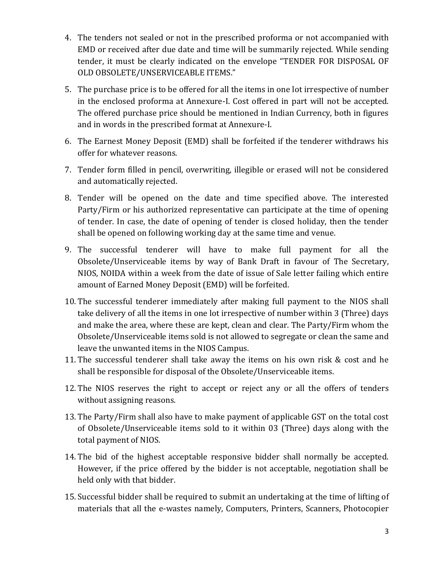- 4. The tenders not sealed or not in the prescribed proforma or not accompanied with EMD or received after due date and time will be summarily rejected. While sending tender, it must be clearly indicated on the envelope "TENDER FOR DISPOSAL OF OLD OBSOLETE/UNSERVICEABLE ITEMS."
- 5. The purchase price is to be offered for all the items in one lot irrespective of number in the enclosed proforma at Annexure-I. Cost offered in part will not be accepted. The offered purchase price should be mentioned in Indian Currency, both in figures and in words in the prescribed format at Annexure-I.
- 6. The Earnest Money Deposit (EMD) shall be forfeited if the tenderer withdraws his offer for whatever reasons.
- 7. Tender form filled in pencil, overwriting, illegible or erased will not be considered and automatically rejected.
- 8. Tender will be opened on the date and time specified above. The interested Party/Firm or his authorized representative can participate at the time of opening of tender. In case, the date of opening of tender is closed holiday, then the tender shall be opened on following working day at the same time and venue.
- 9. The successful tenderer will have to make full payment for all the Obsolete/Unserviceable items by way of Bank Draft in favour of The Secretary, NIOS, NOIDA within a week from the date of issue of Sale letter failing which entire amount of Earned Money Deposit (EMD) will be forfeited.
- 10. The successful tenderer immediately after making full payment to the NIOS shall take delivery of all the items in one lot irrespective of number within 3 (Three) days and make the area, where these are kept, clean and clear. The Party/Firm whom the Obsolete/Unserviceable items sold is not allowed to segregate or clean the same and leave the unwanted items in the NIOS Campus.
- 11. The successful tenderer shall take away the items on his own risk & cost and he shall be responsible for disposal of the Obsolete/Unserviceable items.
- 12. The NIOS reserves the right to accept or reject any or all the offers of tenders without assigning reasons.
- 13. The Party/Firm shall also have to make payment of applicable GST on the total cost of Obsolete/Unserviceable items sold to it within 03 (Three) days along with the total payment of NIOS.
- 14. The bid of the highest acceptable responsive bidder shall normally be accepted. However, if the price offered by the bidder is not acceptable, negotiation shall be held only with that bidder.
- 15. Successful bidder shall be required to submit an undertaking at the time of lifting of materials that all the e-wastes namely, Computers, Printers, Scanners, Photocopier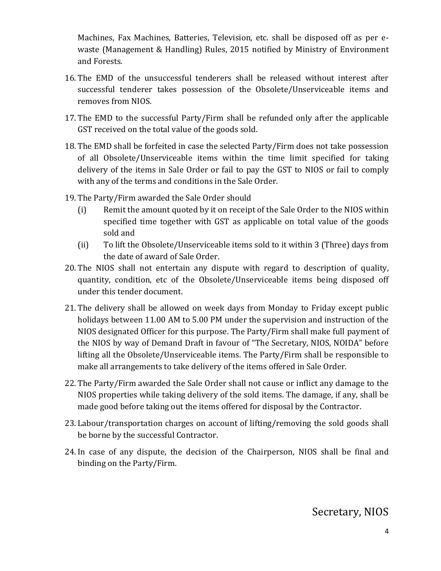Machines, Fax Machines, Batteries, Television, etc. shall be disposed off as per ewaste (Management & Handling) Rules, 2015 notified by Ministry of Environment and Forests.

- 16. The EMD of the unsuccessful tenderers shall be released without interest after successful tenderer takes possession of the Obsolete/Unserviceable items and removes from NIOS.
- 17. The EMD to the successful Party/Firm shall be refunded only after the applicable GST received on the total value of the goods sold.
- 18. The EMD shall be forfeited in case the selected Party/Firm does not take possession of all Obsolete/Unserviceable items within the time limit specified for taking delivery of the items in Sale Order or fail to pay the GST to NIOS or fail to comply with any of the terms and conditions in the Sale Order.
- 19. The Party/Firm awarded the Sale Order should
	- (i) Remit the amount quoted by it on receipt of the Sale Order to the NIOS within specified time together with GST as applicable on total value of the goods sold and
	- (ii) To lift the Obsolete/Unserviceable items sold to it within 3 (Three) days from the date of award of Sale Order.
- 20. The NIOS shall not entertain any dispute with regard to description of quality, quantity, condition, etc of the Obsolete/Unserviceable items being disposed off under this tender document.
- 21. The delivery shall be allowed on week days from Monday to Friday except public holidays between 11.00 AM to 5.00 PM under the supervision and instruction of the NIOS designated Officer for this purpose. The Party/Firm shall make full payment of the NIOS by way of Demand Draft in favour of "The Secretary, NIOS, NOIDA" before lifting all the Obsolete/Unserviceable items. The Party/Firm shall be responsible to make all arrangements to take delivery of the items offered in Sale Order.
- 22. The Party/Firm awarded the Sale Order shall not cause or inflict any damage to the NIOS properties while taking delivery of the sold items. The damage, if any, shall be made good before taking out the items offered for disposal by the Contractor.
- 23. Labour/transportation charges on account of lifting/removing the sold goods shall be borne by the successful Contractor.
- 24. In case of any dispute, the decision of the Chairperson, NIOS shall be final and binding on the Party/Firm.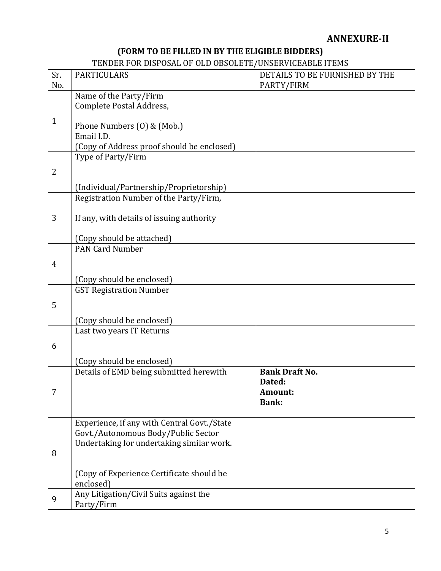# **ANNEXURE-II**

# **(FORM TO BE FILLED IN BY THE ELIGIBLE BIDDERS)**

# TENDER FOR DISPOSAL OF OLD OBSOLETE/UNSERVICEABLE ITEMS

| Sr.            | <b>PARTICULARS</b>                                                                 | DETAILS TO BE FURNISHED BY THE |
|----------------|------------------------------------------------------------------------------------|--------------------------------|
| No.            |                                                                                    | PARTY/FIRM                     |
|                | Name of the Party/Firm                                                             |                                |
|                | Complete Postal Address,                                                           |                                |
| $\mathbf{1}$   |                                                                                    |                                |
|                | Phone Numbers (0) & (Mob.)                                                         |                                |
|                | Email I.D.                                                                         |                                |
|                | (Copy of Address proof should be enclosed)                                         |                                |
|                | Type of Party/Firm                                                                 |                                |
| $\overline{2}$ |                                                                                    |                                |
|                |                                                                                    |                                |
|                | (Individual/Partnership/Proprietorship)                                            |                                |
|                | Registration Number of the Party/Firm,                                             |                                |
|                |                                                                                    |                                |
| 3              | If any, with details of issuing authority                                          |                                |
|                |                                                                                    |                                |
|                | (Copy should be attached)                                                          |                                |
|                | <b>PAN Card Number</b>                                                             |                                |
| $\overline{4}$ |                                                                                    |                                |
|                |                                                                                    |                                |
|                | (Copy should be enclosed)                                                          |                                |
|                | <b>GST Registration Number</b>                                                     |                                |
| 5              |                                                                                    |                                |
|                |                                                                                    |                                |
|                | (Copy should be enclosed)                                                          |                                |
|                | Last two years IT Returns                                                          |                                |
| 6              |                                                                                    |                                |
|                |                                                                                    |                                |
|                | (Copy should be enclosed)                                                          |                                |
|                | Details of EMD being submitted herewith                                            | <b>Bank Draft No.</b>          |
|                |                                                                                    | Dated:                         |
| 7              |                                                                                    | Amount:                        |
|                |                                                                                    | <b>Bank:</b>                   |
|                |                                                                                    |                                |
|                | Experience, if any with Central Govt./State<br>Govt./Autonomous Body/Public Sector |                                |
|                | Undertaking for undertaking similar work.                                          |                                |
| 8              |                                                                                    |                                |
|                |                                                                                    |                                |
|                |                                                                                    |                                |
|                | (Copy of Experience Certificate should be<br>enclosed)                             |                                |
|                |                                                                                    |                                |
| 9              | Any Litigation/Civil Suits against the                                             |                                |
|                | Party/Firm                                                                         |                                |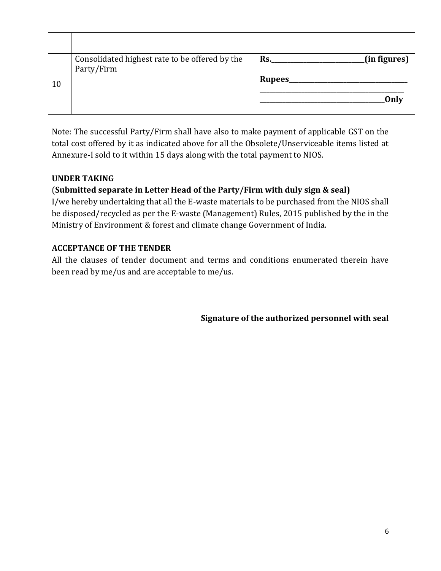|    | Consolidated highest rate to be offered by the | (in figures)<br>Rs. |
|----|------------------------------------------------|---------------------|
|    | Party/Firm                                     |                     |
| 10 |                                                | Rupees              |
|    |                                                |                     |
|    |                                                | Only                |
|    |                                                |                     |

Note: The successful Party/Firm shall have also to make payment of applicable GST on the total cost offered by it as indicated above for all the Obsolete/Unserviceable items listed at Annexure-I sold to it within 15 days along with the total payment to NIOS.

### **UNDER TAKING**

### (**Submitted separate in Letter Head of the Party/Firm with duly sign & seal)**

I/we hereby undertaking that all the E-waste materials to be purchased from the NIOS shall be disposed/recycled as per the E-waste (Management) Rules, 2015 published by the in the Ministry of Environment & forest and climate change Government of India.

#### **ACCEPTANCE OF THE TENDER**

All the clauses of tender document and terms and conditions enumerated therein have been read by me/us and are acceptable to me/us.

**Signature of the authorized personnel with seal**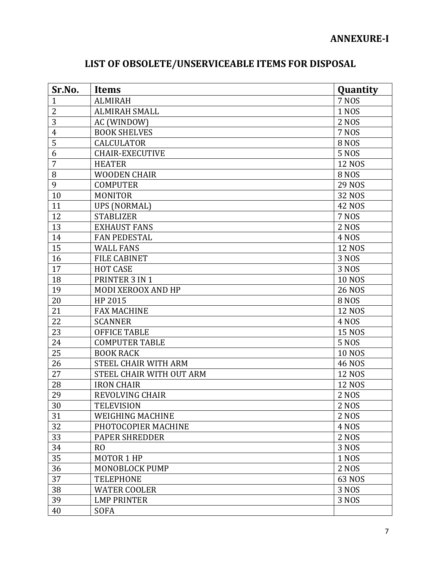| Sr.No.         | <b>Items</b>             | Quantity      |
|----------------|--------------------------|---------------|
| $\mathbf{1}$   | <b>ALMIRAH</b>           | <b>7 NOS</b>  |
| $\overline{2}$ | <b>ALMIRAH SMALL</b>     | <b>1 NOS</b>  |
| 3              | AC (WINDOW)              | 2 NOS         |
| $\overline{4}$ | <b>BOOK SHELVES</b>      | <b>7 NOS</b>  |
| 5              | <b>CALCULATOR</b>        | <b>8 NOS</b>  |
| 6              | <b>CHAIR-EXECUTIVE</b>   | <b>5 NOS</b>  |
| 7              | <b>HEATER</b>            | <b>12 NOS</b> |
| 8              | <b>WOODEN CHAIR</b>      | <b>8 NOS</b>  |
| 9              | <b>COMPUTER</b>          | <b>29 NOS</b> |
| 10             | <b>MONITOR</b>           | 32 NOS        |
| 11             | <b>UPS (NORMAL)</b>      | <b>42 NOS</b> |
| 12             | <b>STABLIZER</b>         | 7 NOS         |
| 13             | <b>EXHAUST FANS</b>      | 2 NOS         |
| 14             | <b>FAN PEDESTAL</b>      | 4 NOS         |
| 15             | <b>WALL FANS</b>         | <b>12 NOS</b> |
| 16             | <b>FILE CABINET</b>      | 3 NOS         |
| 17             | <b>HOT CASE</b>          | 3 NOS         |
| 18             | PRINTER 3 IN 1           | <b>10 NOS</b> |
| 19             | MODI XEROOX AND HP       | <b>26 NOS</b> |
| 20             | HP 2015                  | <b>8 NOS</b>  |
| 21             | <b>FAX MACHINE</b>       | <b>12 NOS</b> |
| 22             | <b>SCANNER</b>           | 4 NOS         |
| 23             | <b>OFFICE TABLE</b>      | <b>15 NOS</b> |
| 24             | <b>COMPUTER TABLE</b>    | <b>5 NOS</b>  |
| 25             | <b>BOOK RACK</b>         | <b>10 NOS</b> |
| 26             | STEEL CHAIR WITH ARM     | <b>46 NOS</b> |
| 27             | STEEL CHAIR WITH OUT ARM | <b>12 NOS</b> |
| 28             | <b>IRON CHAIR</b>        | <b>12 NOS</b> |
| 29             | <b>REVOLVING CHAIR</b>   | <b>2 NOS</b>  |
| 30             | <b>TELEVISION</b>        | <b>2 NOS</b>  |
| 31             | <b>WEIGHING MACHINE</b>  | 2 NOS         |
| 32             | PHOTOCOPIER MACHINE      | 4 NOS         |
| 33             | <b>PAPER SHREDDER</b>    | 2 NOS         |
| 34             | R <sub>O</sub>           | 3 NOS         |
| 35             | MOTOR 1 HP               | 1 NOS         |
| 36             | MONOBLOCK PUMP           | 2 NOS         |
| 37             | <b>TELEPHONE</b>         | 63 NOS        |
| 38             | <b>WATER COOLER</b>      | 3 NOS         |
| 39             | <b>LMP PRINTER</b>       | 3 NOS         |
| 40             | <b>SOFA</b>              |               |

# **LIST OF OBSOLETE/UNSERVICEABLE ITEMS FOR DISPOSAL**